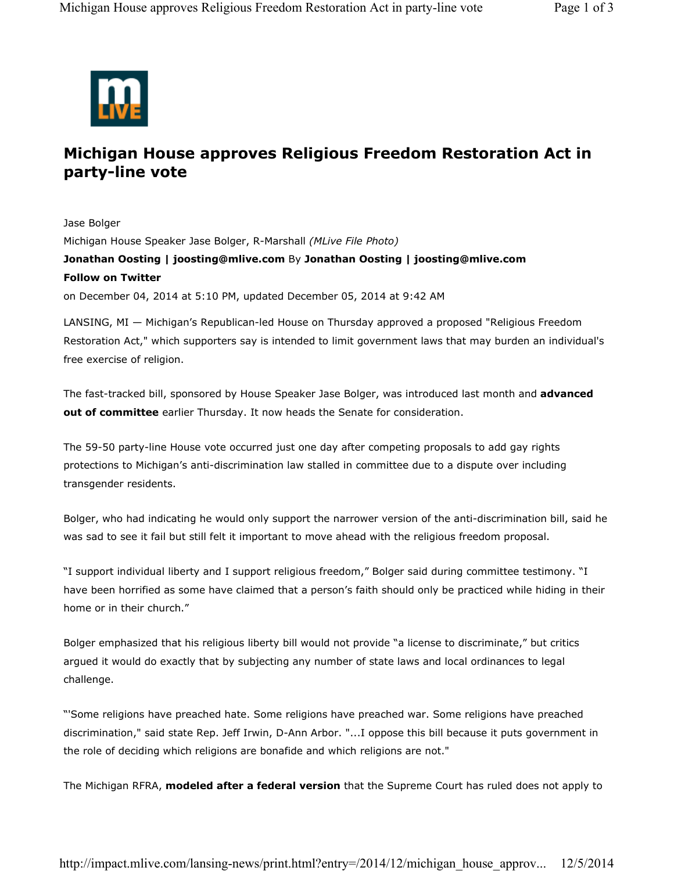

## **Michigan House approves Religious Freedom Restoration Act in party-line vote**

Jase Bolger Michigan House Speaker Jase Bolger, R-Marshall *(MLive File Photo)* **Jonathan Oosting | joosting@mlive.com** By **Jonathan Oosting | joosting@mlive.com Follow on Twitter** on December 04, 2014 at 5:10 PM, updated December 05, 2014 at 9:42 AM

LANSING, MI — Michigan's Republican-led House on Thursday approved a proposed "Religious Freedom Restoration Act," which supporters say is intended to limit government laws that may burden an individual's free exercise of religion.

The fast-tracked bill, sponsored by House Speaker Jase Bolger, was introduced last month and **advanced out of committee** earlier Thursday. It now heads the Senate for consideration.

The 59-50 party-line House vote occurred just one day after competing proposals to add gay rights protections to Michigan's anti-discrimination law stalled in committee due to a dispute over including transgender residents.

Bolger, who had indicating he would only support the narrower version of the anti-discrimination bill, said he was sad to see it fail but still felt it important to move ahead with the religious freedom proposal.

"I support individual liberty and I support religious freedom," Bolger said during committee testimony. "I have been horrified as some have claimed that a person's faith should only be practiced while hiding in their home or in their church."

Bolger emphasized that his religious liberty bill would not provide "a license to discriminate," but critics argued it would do exactly that by subjecting any number of state laws and local ordinances to legal challenge.

"'Some religions have preached hate. Some religions have preached war. Some religions have preached discrimination," said state Rep. Jeff Irwin, D-Ann Arbor. "...I oppose this bill because it puts government in the role of deciding which religions are bonafide and which religions are not."

The Michigan RFRA, **modeled after a federal version** that the Supreme Court has ruled does not apply to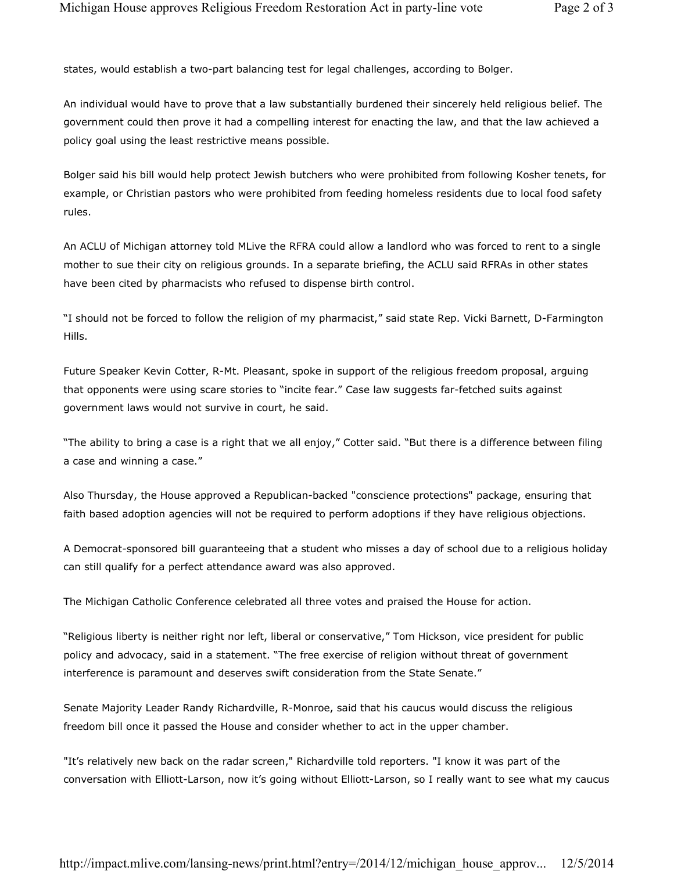states, would establish a two-part balancing test for legal challenges, according to Bolger.

An individual would have to prove that a law substantially burdened their sincerely held religious belief. The government could then prove it had a compelling interest for enacting the law, and that the law achieved a policy goal using the least restrictive means possible.

Bolger said his bill would help protect Jewish butchers who were prohibited from following Kosher tenets, for example, or Christian pastors who were prohibited from feeding homeless residents due to local food safety rules.

An ACLU of Michigan attorney told MLive the RFRA could allow a landlord who was forced to rent to a single mother to sue their city on religious grounds. In a separate briefing, the ACLU said RFRAs in other states have been cited by pharmacists who refused to dispense birth control.

"I should not be forced to follow the religion of my pharmacist," said state Rep. Vicki Barnett, D-Farmington Hills.

Future Speaker Kevin Cotter, R-Mt. Pleasant, spoke in support of the religious freedom proposal, arguing that opponents were using scare stories to "incite fear." Case law suggests far-fetched suits against government laws would not survive in court, he said.

"The ability to bring a case is a right that we all enjoy," Cotter said. "But there is a difference between filing a case and winning a case."

Also Thursday, the House approved a Republican-backed "conscience protections" package, ensuring that faith based adoption agencies will not be required to perform adoptions if they have religious objections.

A Democrat-sponsored bill guaranteeing that a student who misses a day of school due to a religious holiday can still qualify for a perfect attendance award was also approved.

The Michigan Catholic Conference celebrated all three votes and praised the House for action.

"Religious liberty is neither right nor left, liberal or conservative," Tom Hickson, vice president for public policy and advocacy, said in a statement. "The free exercise of religion without threat of government interference is paramount and deserves swift consideration from the State Senate."

Senate Majority Leader Randy Richardville, R-Monroe, said that his caucus would discuss the religious freedom bill once it passed the House and consider whether to act in the upper chamber.

"It's relatively new back on the radar screen," Richardville told reporters. "I know it was part of the conversation with Elliott-Larson, now it's going without Elliott-Larson, so I really want to see what my caucus